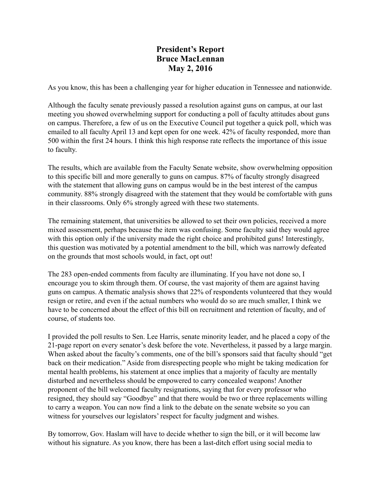## **President's Report Bruce MacLennan May 2, 2016**

As you know, this has been a challenging year for higher education in Tennessee and nationwide.

Although the faculty senate previously passed a resolution against guns on campus, at our last meeting you showed overwhelming support for conducting a poll of faculty attitudes about guns on campus. Therefore, a few of us on the Executive Council put together a quick poll, which was emailed to all faculty April 13 and kept open for one week. 42% of faculty responded, more than 500 within the first 24 hours. I think this high response rate reflects the importance of this issue to faculty.

The results, which are available from the Faculty Senate website, show overwhelming opposition to this specific bill and more generally to guns on campus. 87% of faculty strongly disagreed with the statement that allowing guns on campus would be in the best interest of the campus community. 88% strongly disagreed with the statement that they would be comfortable with guns in their classrooms. Only 6% strongly agreed with these two statements.

The remaining statement, that universities be allowed to set their own policies, received a more mixed assessment, perhaps because the item was confusing. Some faculty said they would agree with this option only if the university made the right choice and prohibited guns! Interestingly, this question was motivated by a potential amendment to the bill, which was narrowly defeated on the grounds that most schools would, in fact, opt out!

The 283 open-ended comments from faculty are illuminating. If you have not done so, I encourage you to skim through them. Of course, the vast majority of them are against having guns on campus. A thematic analysis shows that 22% of respondents volunteered that they would resign or retire, and even if the actual numbers who would do so are much smaller, I think we have to be concerned about the effect of this bill on recruitment and retention of faculty, and of course, of students too.

I provided the poll results to Sen. Lee Harris, senate minority leader, and he placed a copy of the 21-page report on every senator's desk before the vote. Nevertheless, it passed by a large margin. When asked about the faculty's comments, one of the bill's sponsors said that faculty should "get back on their medication." Aside from disrespecting people who might be taking medication for mental health problems, his statement at once implies that a majority of faculty are mentally disturbed and nevertheless should be empowered to carry concealed weapons! Another proponent of the bill welcomed faculty resignations, saying that for every professor who resigned, they should say "Goodbye" and that there would be two or three replacements willing to carry a weapon. You can now find a link to the debate on the senate website so you can witness for yourselves our legislators' respect for faculty judgment and wishes.

By tomorrow, Gov. Haslam will have to decide whether to sign the bill, or it will become law without his signature. As you know, there has been a last-ditch effort using social media to